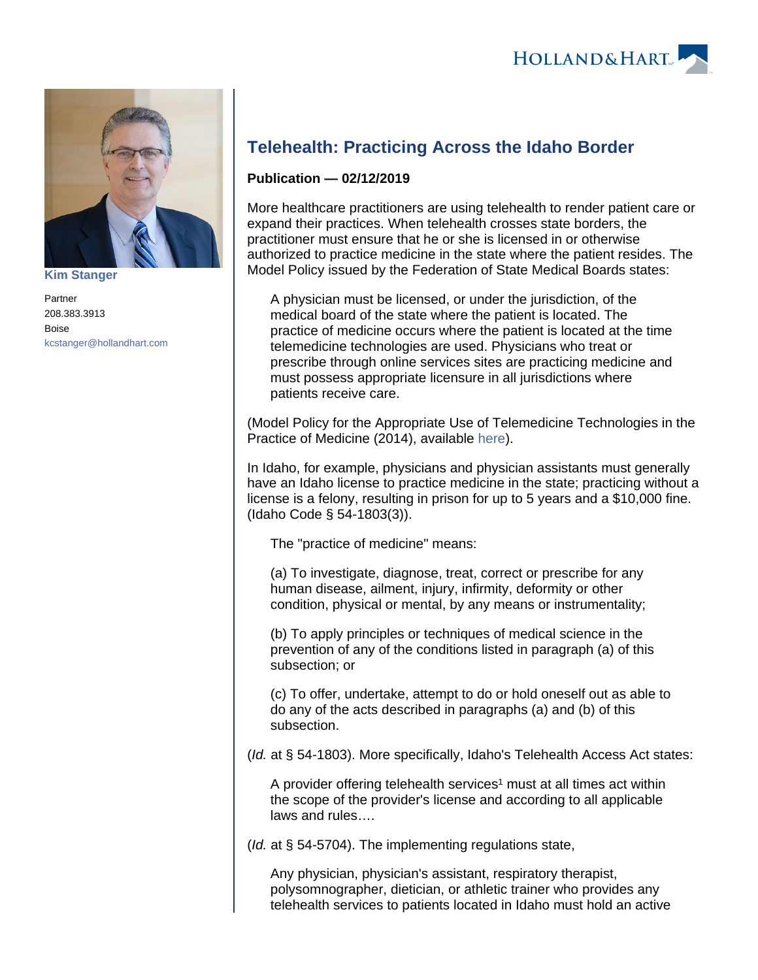

**[Kim Stanger](https://www.hollandhart.com/15954)**

Partner 208.383.3913 Boise [kcstanger@hollandhart.com](mailto:kcstanger@hollandhart.com)

## **Telehealth: Practicing Across the Idaho Border**

## **Publication — 02/12/2019**

More healthcare practitioners are using telehealth to render patient care or expand their practices. When telehealth crosses state borders, the practitioner must ensure that he or she is licensed in or otherwise authorized to practice medicine in the state where the patient resides. The Model Policy issued by the Federation of State Medical Boards states:

A physician must be licensed, or under the jurisdiction, of the medical board of the state where the patient is located. The practice of medicine occurs where the patient is located at the time telemedicine technologies are used. Physicians who treat or prescribe through online services sites are practicing medicine and must possess appropriate licensure in all jurisdictions where patients receive care.

(Model Policy for the Appropriate Use of Telemedicine Technologies in the Practice of Medicine (2014), available [here](https://www.fsmb.org/siteassets/advocacy/policies/fsmb_telemedicine_policy.pdf)).

In Idaho, for example, physicians and physician assistants must generally have an Idaho license to practice medicine in the state; practicing without a license is a felony, resulting in prison for up to 5 years and a \$10,000 fine. (Idaho Code § 54-1803(3)).

The "practice of medicine" means:

(a) To investigate, diagnose, treat, correct or prescribe for any human disease, ailment, injury, infirmity, deformity or other condition, physical or mental, by any means or instrumentality;

(b) To apply principles or techniques of medical science in the prevention of any of the conditions listed in paragraph (a) of this subsection; or

(c) To offer, undertake, attempt to do or hold oneself out as able to do any of the acts described in paragraphs (a) and (b) of this subsection.

(Id. at § 54-1803). More specifically, Idaho's Telehealth Access Act states:

A provider offering telehealth services<sup>1</sup> must at all times act within the scope of the provider's license and according to all applicable laws and rules….

( $Id$ . at § 54-5704). The implementing regulations state,

Any physician, physician's assistant, respiratory therapist, polysomnographer, dietician, or athletic trainer who provides any telehealth services to patients located in Idaho must hold an active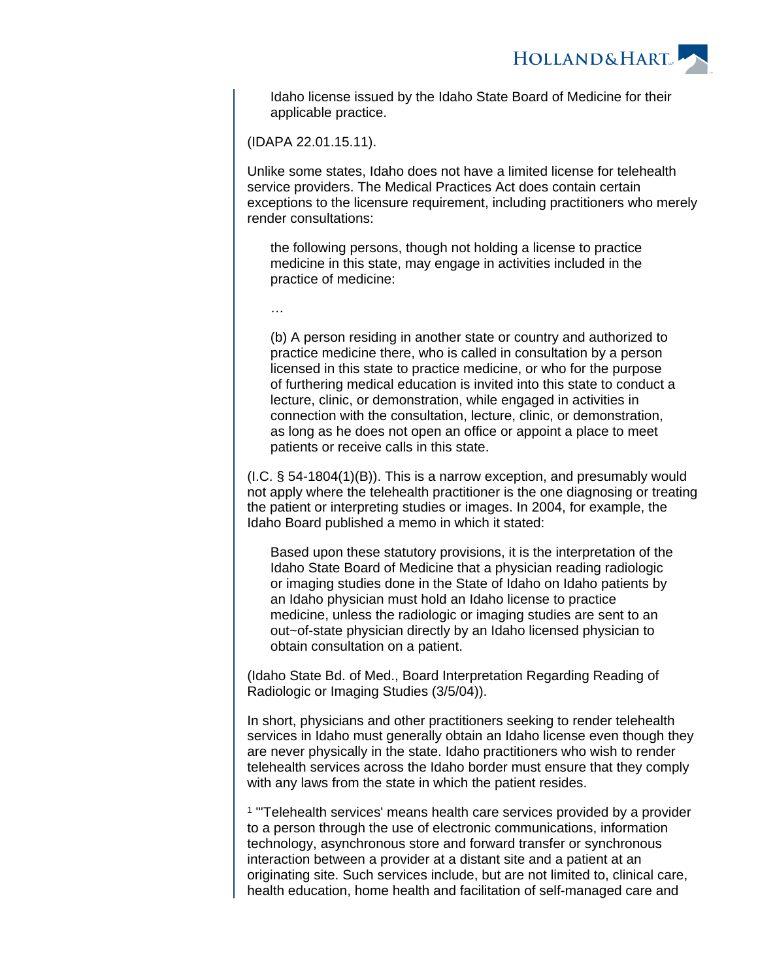

Idaho license issued by the Idaho State Board of Medicine for their applicable practice.

(IDAPA 22.01.15.11).

Unlike some states, Idaho does not have a limited license for telehealth service providers. The Medical Practices Act does contain certain exceptions to the licensure requirement, including practitioners who merely render consultations:

the following persons, though not holding a license to practice medicine in this state, may engage in activities included in the practice of medicine:

…

(b) A person residing in another state or country and authorized to practice medicine there, who is called in consultation by a person licensed in this state to practice medicine, or who for the purpose of furthering medical education is invited into this state to conduct a lecture, clinic, or demonstration, while engaged in activities in connection with the consultation, lecture, clinic, or demonstration, as long as he does not open an office or appoint a place to meet patients or receive calls in this state.

(I.C. § 54-1804(1)(B)). This is a narrow exception, and presumably would not apply where the telehealth practitioner is the one diagnosing or treating the patient or interpreting studies or images. In 2004, for example, the Idaho Board published a memo in which it stated:

Based upon these statutory provisions, it is the interpretation of the Idaho State Board of Medicine that a physician reading radiologic or imaging studies done in the State of Idaho on Idaho patients by an Idaho physician must hold an Idaho license to practice medicine, unless the radiologic or imaging studies are sent to an out~of-state physician directly by an Idaho licensed physician to obtain consultation on a patient.

(Idaho State Bd. of Med., Board Interpretation Regarding Reading of Radiologic or Imaging Studies (3/5/04)).

In short, physicians and other practitioners seeking to render telehealth services in Idaho must generally obtain an Idaho license even though they are never physically in the state. Idaho practitioners who wish to render telehealth services across the Idaho border must ensure that they comply with any laws from the state in which the patient resides.

<sup>1</sup> "Telehealth services' means health care services provided by a provider to a person through the use of electronic communications, information technology, asynchronous store and forward transfer or synchronous interaction between a provider at a distant site and a patient at an originating site. Such services include, but are not limited to, clinical care, health education, home health and facilitation of self-managed care and